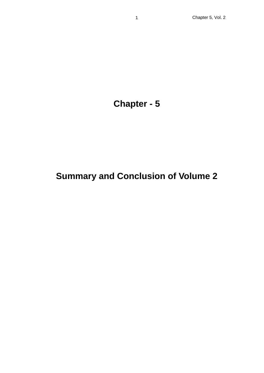## **Chapter - 5**

# **Summary and Conclusion of Volume 2**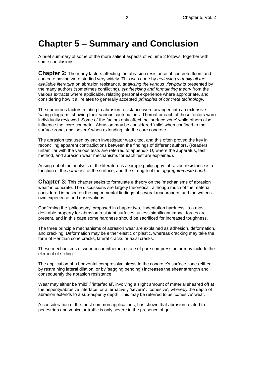### **Chapter 5 – Summary and Conclusion**

A brief summary of some of the more salient aspects of volume 2 follows, together with some conclusions.

**Chapter 2:** The many factors affecting the abrasion resistance of concrete floors and concrete paving were studied very widely. This was done by *reviewing virtually all the available literature* on abrasion resistance, *analysing the various viewpoints* presented by the many authors (sometimes conflicting), *synthesising and formulating theory* from the various extracts where applicable, relating personal experience where appropriate, and considering how it all relates to generally accepted *principles of concrete technology.*

The numerous factors relating to abrasion resistance were arranged into an extensive 'wiring-diagram', showing their various contributions. Thereafter each of these factors were individually reviewed. Some of the factors only affect the 'surface zone' while others also influence the 'core concrete'. Abrasion may be considered 'mild' when confined to the surface zone, and 'severe' when extending into the core concrete.

The abrasion test used by each investigator was cited, and this often proved the key in reconciling apparent contradictions between the findings of different authors. (Readers unfamiliar with the various tests are referred to appendix U, where the apparatus, test method, and abrasion wear mechanisms for each test are explained).

Arising out of the analysis of the literature is a simple philosophy: abrasion resistance is a function of the *hardness* of the surface, and the strength of the *aggregate/paste bond*.

**Chapter 3:** This chapter seeks to formulate a theory on the 'mechanisms of abrasion wear' in concrete. The discussions are largely theoretical, although much of the material considered is based on the experimental findings of several researchers, and the writer's own experience and observations

Confirming the 'philosophy' proposed in chapter two, 'indentation hardness' is a most desirable property for abrasion resistant surfaces, unless significant impact forces are present, and in this case some hardness should be sacrificed for increased toughness.

The three principle mechanisms of abrasion wear are explained as adhesion, deformation, and cracking. Deformation may be either elastic or plastic, whereas cracking may take the form of Hertzian cone cracks, lateral cracks or axial cracks.

These mechanisms of wear occur either in a state of pure compression or may include the element of sliding.

The application of a horizontal compressive stress to the concrete's surface zone (either by restraining lateral dilation, or by 'sagging bending') increases the shear strength and consequently the abrasion resistance.

Wear may either be 'mild' / 'interfacial', involving a slight amount of material sheared off at the asperity/abrasive interface, or alternatively 'severe' / 'cohesive', whereby the depth of abrasion extends to a sub-asperity depth. This may be referred to as 'cohesive' wear.

A consideration of the most common applications, has shown that abrasion related to pedestrian and vehicular traffic is only severe in the presence of grit.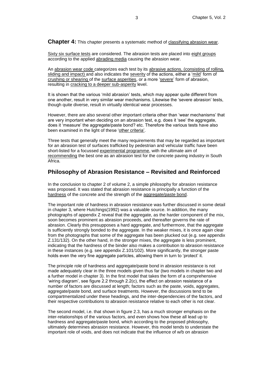**Chapter 4:** This chapter presents a systematic method of classifying abrasion wear.

Sixty six surface tests are considered. The abrasion tests are placed into eight groups according to the applied abrading media causing the abrasion wear.

An abrasion wear code categorizes each test by its abrasive actions, (consisting of rolling, sliding and impact) and also indicates the severity of the actions, either a 'mild' form of crushing or shearing of the surface asperities, or a more 'severe' form of abrasion, resulting in cracking to a deeper sub-asperity level.

It is shown that the various 'mild abrasion' tests, which may appear quite different from one another, result in very similar wear mechanisms. Likewise the 'severe abrasion' tests, though quite diverse, result in virtually identical wear processes.

However, there are also several other important criteria other than 'wear mechanisms' that are very important when deciding on an abrasion test, e.g. does it 'see' the aggregate, does it 'measure' the aggregate/paste bond? etc. Therefore the various tests have also been examined in the light of these 'other criteria'.

Three tests that generally meet the many requirements that may be regarded as important for an abrasion test of surfaces trafficked by pedestrian and vehicular traffic have been short-listed for a focussed experimental programme, with the ultimate aim of recommending the best one as an abrasion test for the concrete paving industry in South Africa.

#### **Philosophy of Abrasion Resistance – Revisited and Reinforced**

In the conclusion to chapter 2 of volume 2, a simple philosophy for abrasion resistance was proposed. It was stated that abrasion resistance is principally a function of the hardness of the concrete and the strength of the aggregate/paste bond.

The important role of hardness in abrasion resistance was further discussed in some detail in chapter 3, where Hutchings(1992) was a valuable source. In addition, the many photographs of appendix Z reveal that the aggregate, as the harder component of the mix, soon becomes prominent as abrasion proceeds, and thereafter governs the rate of abrasion. Clearly this presupposes a hard aggregate, and furthermore, that the aggregate is sufficiently strongly bonded to the aggregate. In the weaker mixes, it is once again clear from the photographs that some of the aggregate has been plucked out (e.g. see appendix Z.131/132). On the other hand, in the stronger mixes, the aggregate is less prominent, indicating that the hardness of the binder also makes a contribution to abrasion resistance in these instances (e.g. see appendix Z.101/102). More significantly, the stronger paste holds even the very fine aggregate particles, allowing them in turn to 'protect' it.

The principle role of hardness and aggregate/paste bond in abrasion resistance is not made adequately clear in the three models given thus far (two models in chapter two and a further model in chapter 3). In the first model that takes the form of a comprehensive 'wiring diagram', see figure 2.2 through 2.2(c), the effect on abrasion resistance of a number of factors are discussed at length; factors such as the paste, voids, aggregates, aggregate/paste bond, and surface treatments. However, the discussions tend to be compartmentalized under these headings, and the inter-dependencies of the factors, and their respective contributions to abrasion resistance relative to each other is not clear.

The second model, i.e. that shown in figure 2.3, has a much stronger emphasis on the inter-relationships of the various factors, and even shows how these all lead up to hardness and aggregate/paste bond, which according to the proposed philosophy, ultimately determines abrasion resistance. However, this model tends to understate the important role of voids, and does not indicate that the influence of w/b on abrasion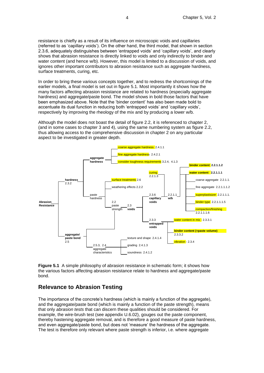resistance is chiefly as a result of its influence on microscopic voids and capillaries (referred to as 'capillary voids'). On the other hand, the third model, that shown in section 2.3.6, adequately distinguishes between 'entrapped voids' and 'capillary voids', and clearly shows that abrasion resistance is directly linked to voids and only indirectly to binder and water content (and hence w/b). However, this model is limited to a discussion of voids, and ignores other important contributors to abrasion resistance such as aggregate hardness, surface treatments, curing, etc.

In order to bring these various concepts together, and to redress the shortcomings of the earlier models, a final model is set out in figure 5.1. Most importantly it shows how the many factors affecting abrasion resistance are related to hardness (especially aggregate hardness) and aggregate/paste bond. The model shows in bold those factors that have been emphasized above. Note that the 'binder content' has also been made bold to accentuate its dual function in reducing both 'entrapped voids' and 'capillary voids', respectively by improving the rheology of the mix and by producing a lower w/b.

Although the model does not boast the detail of figure 2.2, it is referenced to chapter 2, (and in some cases to chapter 3 and 4), using the same numbering system as figure 2.2, thus allowing access to the comprehensive discussion in chapter 2 on any particular aspect to be investigated in greater depth.



**Figure 5.1** A simple philosophy of abrasion resistance in schematic form; it shows how the various factors affecting abrasion resistance relate to hardness and aggregate/paste bond.

#### **Relevance to Abrasion Testing**

The importance of the concrete's hardness (which is mainly a function of the aggregate), and the aggregate/paste bond (which is mainly a function of the paste strength), means that only *abrasion tests* that can discern these qualities should be considered. For example, the wire-brush test (see appendix U.6.02), gouges out the paste component, thereby hastening aggregate removal, and is therefore a good measure of paste hardness, and even aggregate/paste bond, but does not 'measure' the hardness of the aggregate. The test is therefore only relevant where paste strength is inferior, i.e. where aggregate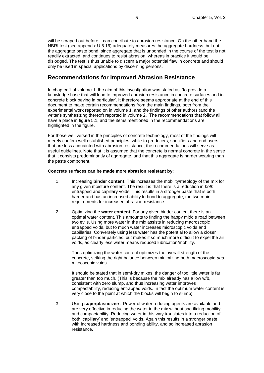will be scraped out before it can contribute to abrasion resistance. On the other hand the NBRI test (see appendix U.5.16) adequately measures the aggregate hardness, but not the aggregate paste bond, since aggregate that is unbonded in the course of the test is not readily extracted, and continues to resist abrasion, whereas in practice it would be dislodged. The test is thus unable to discern a major potential flaw in concrete and should only be used in special applications by discerning persons.

#### **Recommendations for Improved Abrasion Resistance**

In chapter 1 of volume 1, the aim of this investigation was stated as, 'to provide a knowledge base that will lead to improved abrasion resistance in concrete surfaces and in concrete block paving in particular'. It therefore seems appropriate at the end of this document to make certain recommendations from the main findings, both from the experimental work reported on in volume 1, and the findings of other authors (and the writer's synthesizing thereof) reported in volume 2. The recommendations that follow all have a place in figure 5.1, and the items mentioned in the recommendations are highlighted in the figure.

For those well versed in the principles of concrete technology, most of the findings will merely confirm well established principles, while to producers, specifiers and end users that are less acquainted with abrasion resistance, the recommendations will serve as useful guidelines. Note that it is assumed that the concrete is normal concrete in the sense that it consists predominantly of aggregate, and that this aggregate is harder wearing than the paste component.

#### **Concrete surfaces can be made more abrasion resistant by:**

- 1. Increasing **binder content**. This increases the mobility/rheology of the mix for any given moisture content. The result is that there is a reduction in *both* entrapped and capillary voids. This results in a stronger paste that is both harder and has an increased ability to bond to aggregate, the two main requirements for increased abrasion resistance.
- 2. Optimizing the **water content**. For any given binder content there is an optimal water content. This amounts to finding the happy middle road between two evils. Using more water in the mix assists in reducing macroscopic entrapped voids, but to much water increases microscopic voids and capillaries. Conversely using less water has the potential to allow a closer packing of binder particles, but makes it so much more difficult to expel the air voids, as clearly less water means reduced lubrication/mobility.

Thus optimizing the water content optimizes the overall strength of the concrete, striking the right balance between minimizing both macroscopic *and* microscopic voids.

It should be stated that in semi-dry mixes, the danger of too little water is far greater than too much. (This is because the mix already has a low w/b, consistent with zero slump, and thus increasing water improves compactability, reducing entrapped voids. In fact the optimum water content is very close to the point at which the blocks will begin to slump).

3. Using **superplasticizers**. Powerful water reducing agents are available and are very effective in reducing the water in the mix without sacrificing mobility and compactability. Reducing water in this way translates into a reduction of both 'capillary' and 'entrapped' voids. Again this results in a stronger paste with increased hardness and bonding ability, and so increased abrasion resistance.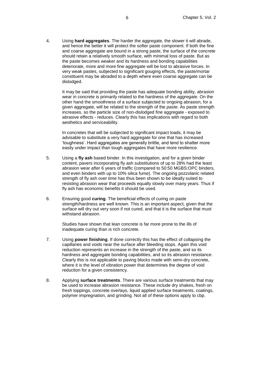4. Using **hard aggregates**. The harder the aggregate, the slower it will abrade, and hence the better it will protect the softer paste component. If both the fine and coarse aggregate are bound in a strong paste, the surface of the concrete should retain a relatively smooth surface, with minimal loss of paste. But as the paste becomes weaker and its hardness and bonding capabilities deteriorate, more and more fine aggregate will be lost to abrasive forces. In very weak pastes, subjected to significant gouging effects, the paste/mortar constituent may be abraded to a depth where even coarse aggregate can be dislodged.

It may be said that providing the paste has adequate bonding ability, abrasion wear in concrete is primarily related to the hardness of the *aggregate*. On the other hand the smoothness of a surface subjected to ongoing abrasion, for a given aggregate, will be related to the strength of the *paste*. As paste strength increases, so the particle size of non-dislodged fine aggregate - exposed to abrasive effects - reduces. Clearly this has implications with regard to both aesthetics and serviceability.

In concretes that will be subjected to significant impact loads, it may be advisable to substitute a very hard aggregate for one that has increased 'toughness'. Hard aggregates are generally brittle, and tend to shatter more easily under impact than tough aggregates that have more resilience.

- 5. Using a **fly ash** based binder. In this investigation, and for a given binder content, pavers incorporating fly ash substitutions of up to 28% had the least abrasion wear after 6 years of traffic (compared to 50:50 MGBS:OPC binders, and even binders with up to 10% silica fume). The ongoing pozzolanic related strength of fly ash over time has thus been shown to be ideally suited to resisting abrasion wear that proceeds equally slowly over many years. Thus if fly ash has economic benefits it should be used.
- 6. Ensuring good **curing**. The beneficial effects of curing on paste strength/hardness are well known. This is an important aspect, given that the surface will dry out very soon if not cured, and that it is the surface that must withstand abrasion.

Studies have shown that lean concrete is far more prone to the ills of inadequate curing than is rich concrete.

- 7. Using **power finishing**. If done correctly this has the effect of collapsing the capillaries and voids near the surface after bleeding stops. Again this void reduction represents an increase in the strength of the paste, and so its hardness and aggregate bonding capabilities, and so its abrasion resistance. Clearly this is not applicable to paving blocks made with semi-dry concrete, where it is the level of vibration power that determines the degree of void reduction for a given consistency.
- 8. Applying **surface treatments**. There are various surface treatments that may be used to increase abrasion resistance. These include dry shakes, fresh on fresh toppings, concrete overlays, liquid applied surface treatments, coatings, polymer impregnation, and grinding. Not all of these options apply to cbp.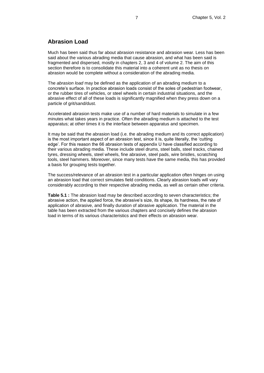#### **Abrasion Load**

Much has been said thus far about abrasion resistance and abrasion wear. Less has been said about the various abrading media that cause abrasion, and what has been said is fragmented and dispersed, mostly in chapters 2, 3 and 4 of volume 2. The aim of this section therefore is to consolidate this material into a coherent unit as no thesis on abrasion would be complete without a consideration of the abrading media.

The *abrasion load* may be defined as the application of an abrading medium to a concrete's surface. In practice abrasion loads consist of the soles of pedestrian footwear, or the rubber tires of vehicles, or steel wheels in certain industrial situations, and the abrasive effect of all of these loads is significantly magnified when they press down on a particle of grit/sand/dust.

Accelerated abrasion tests make use of a number of hard materials to simulate in a few minutes what takes years in practice. Often the abrading medium is attached to the test apparatus; at other times it is the interface between apparatus and specimen.

It may be said that the abrasion load (i.e. the abrading medium and its correct application) is the most important aspect of an abrasion test, since it is, quite literally, the 'cutting edge'. For this reason the 66 abrasion tests of appendix U have classified according to their various abrading media. These include steel drums, steel balls, steel tracks, chained tyres, dressing wheels, steel wheels, fine abrasive, steel pads, wire bristles, scratching tools, steel hammers. Moreover, since many tests have the same media, this has provided a basis for grouping tests together.

The success/relevance of an abrasion test in a particular application often hinges on using an abrasion load that correct simulates field conditions. Clearly abrasion loads will vary considerably according to their respective abrading media, as well as certain other criteria.

**Table 5.1 :** The abrasion load may be described according to seven characteristics; the abrasive action, the applied force, the abrasive's size, its shape, its hardness, the rate of application of abrasive, and finally duration of abrasive application. The material in the table has been extracted from the various chapters and concisely defines the abrasion load in terms of its various characteristics and their effects on abrasion wear.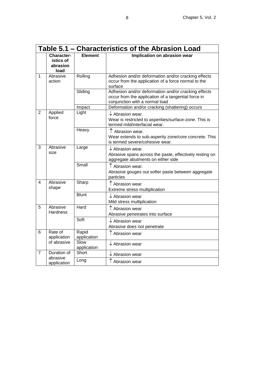| Table 5.1 – Characteristics of the Abrasion Load |                                                    |                      |                                                                                                                                              |
|--------------------------------------------------|----------------------------------------------------|----------------------|----------------------------------------------------------------------------------------------------------------------------------------------|
|                                                  | <b>Character-</b><br>istics of<br>abrasion<br>load | <b>Element</b>       | Implication on abrasion wear                                                                                                                 |
| $\mathbf{1}$                                     | Abrasive<br>action                                 | Rolling              | Adhesion and/or deformation and/or cracking effects<br>occur from the application of a force normal to the<br>surface                        |
|                                                  |                                                    | Sliding              | Adhesion and/or deformation and/or cracking effects<br>occur from the application of a tangential force in<br>conjunction with a normal load |
|                                                  |                                                    | Impact               | Deformation and/or cracking (shattering) occurs                                                                                              |
| $\overline{2}$                                   | Applied<br>force                                   | Light                | $\downarrow$ Abrasion wear.<br>Wear is restricted to asperities/surface-zone. This is<br>termed mild/interfacial wear.                       |
|                                                  |                                                    | Heavy                | ↑ Abrasion wear.<br>Wear extends to sub-asperity zone/core concrete. This<br>is termed severe/cohesive wear.                                 |
| 3                                                | Abrasive<br>size                                   | Large                | $\downarrow$ Abrasion wear.<br>Abrasive spans across the paste, effectively resting on<br>aggregate abutments on either side                 |
|                                                  |                                                    | Small                | ↑ Abrasion wear.<br>Abrasive gouges out softer paste between aggregate<br>particles                                                          |
| 4                                                | Abrasive<br>shape                                  | Sharp                | ↑ Abrasion wear<br>Extreme stress multiplication                                                                                             |
|                                                  |                                                    | <b>Blunt</b>         | $\downarrow$ Abrasion wear<br>Mild stress multiplication                                                                                     |
| 5                                                | Abrasive<br><b>Hardness</b>                        | Hard                 | ↑ Abrasion wear<br>Abrasive penetrates into surface                                                                                          |
|                                                  |                                                    | Soft                 | $\downarrow$ Abrasion wear<br>Abrasive does not penetrate                                                                                    |
| 6                                                | Rate of<br>application<br>of abrasive              | Rapid<br>application | $\uparrow$ Abrasion wear                                                                                                                     |
|                                                  |                                                    | Slow<br>application  | $\downarrow$ Abrasion wear                                                                                                                   |
| 7                                                | Duration of<br>abrasive<br>application             | Short                | $\downarrow$ Abrasion wear                                                                                                                   |
|                                                  |                                                    | Long                 | $\uparrow$ Abrasion wear                                                                                                                     |